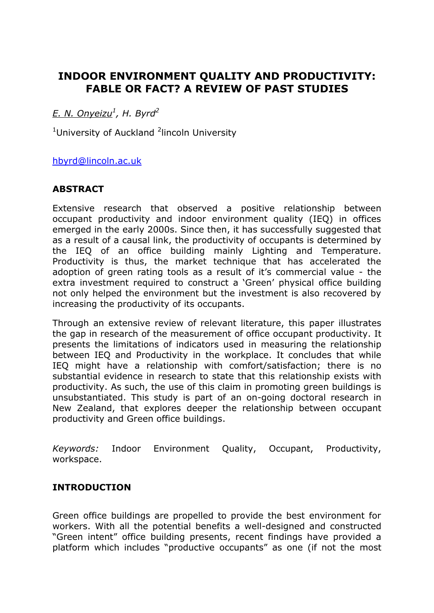# **INDOOR ENVIRONMENT QUALITY AND PRODUCTIVITY: FABLE OR FACT? A REVIEW OF PAST STUDIES**

*E. N. Onyeizu<sup>1</sup> , H. Byrd<sup>2</sup>*

<sup>1</sup>University of Auckland <sup>2</sup>lincoln University

[hbyrd@lincoln.ac.uk](mailto:hbyrd@lincoln.ac.uk)

## **ABSTRACT**

Extensive research that observed a positive relationship between occupant productivity and indoor environment quality (IEQ) in offices emerged in the early 2000s. Since then, it has successfully suggested that as a result of a causal link, the productivity of occupants is determined by the IEQ of an office building mainly Lighting and Temperature. Productivity is thus, the market technique that has accelerated the adoption of green rating tools as a result of it's commercial value - the extra investment required to construct a 'Green' physical office building not only helped the environment but the investment is also recovered by increasing the productivity of its occupants.

Through an extensive review of relevant literature, this paper illustrates the gap in research of the measurement of office occupant productivity. It presents the limitations of indicators used in measuring the relationship between IEQ and Productivity in the workplace. It concludes that while IEQ might have a relationship with comfort/satisfaction; there is no substantial evidence in research to state that this relationship exists with productivity. As such, the use of this claim in promoting green buildings is unsubstantiated. This study is part of an on-going doctoral research in New Zealand, that explores deeper the relationship between occupant productivity and Green office buildings.

*Keywords:* Indoor Environment Quality, Occupant, Productivity, workspace.

### **INTRODUCTION**

Green office buildings are propelled to provide the best environment for workers. With all the potential benefits a well-designed and constructed "Green intent" office building presents, recent findings have provided a platform which includes "productive occupants" as one (if not the most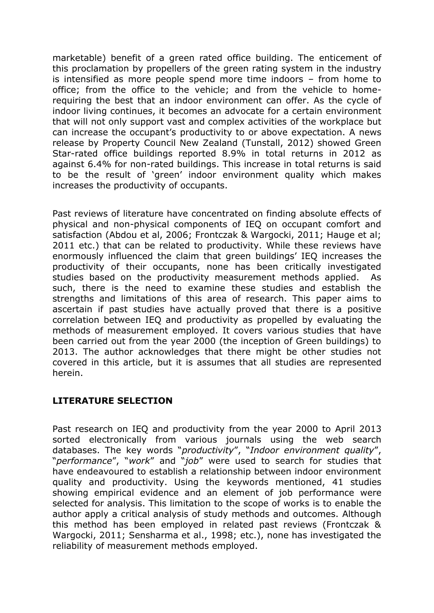marketable) benefit of a green rated office building. The enticement of this proclamation by propellers of the green rating system in the industry is intensified as more people spend more time indoors – from home to office; from the office to the vehicle; and from the vehicle to homerequiring the best that an indoor environment can offer. As the cycle of indoor living continues, it becomes an advocate for a certain environment that will not only support vast and complex activities of the workplace but can increase the occupant's productivity to or above expectation. A news release by Property Council New Zealand (Tunstall, 2012) showed Green Star-rated office buildings reported 8.9% in total returns in 2012 as against 6.4% for non-rated buildings. This increase in total returns is said to be the result of 'green' indoor environment quality which makes increases the productivity of occupants.

Past reviews of literature have concentrated on finding absolute effects of physical and non-physical components of IEQ on occupant comfort and satisfaction (Abdou et al, 2006; Frontczak & Wargocki, 2011; Hauge et al; 2011 etc.) that can be related to productivity. While these reviews have enormously influenced the claim that green buildings' IEQ increases the productivity of their occupants, none has been critically investigated studies based on the productivity measurement methods applied. As such, there is the need to examine these studies and establish the strengths and limitations of this area of research. This paper aims to ascertain if past studies have actually proved that there is a positive correlation between IEQ and productivity as propelled by evaluating the methods of measurement employed. It covers various studies that have been carried out from the year 2000 (the inception of Green buildings) to 2013. The author acknowledges that there might be other studies not covered in this article, but it is assumes that all studies are represented herein.

# **LITERATURE SELECTION**

Past research on IEQ and productivity from the year 2000 to April 2013 sorted electronically from various journals using the web search databases. The key words "*productivity*", "*Indoor environment quality*", "*performance*", "*work*" and "*job*" were used to search for studies that have endeavoured to establish a relationship between indoor environment quality and productivity. Using the keywords mentioned, 41 studies showing empirical evidence and an element of job performance were selected for analysis. This limitation to the scope of works is to enable the author apply a critical analysis of study methods and outcomes. Although this method has been employed in related past reviews (Frontczak & Wargocki, 2011; Sensharma et al., 1998; etc.), none has investigated the reliability of measurement methods employed.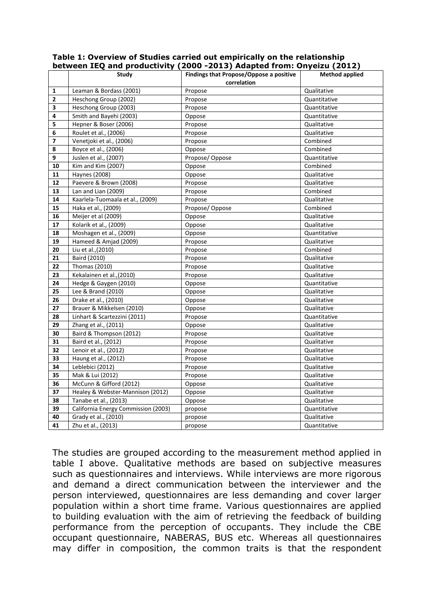| Findings that Propose/Oppose a positive<br><b>Method applied</b><br><b>Study</b><br>correlation<br>Leaman & Bordass (2001)<br>Propose<br>Qualitative<br>1<br>$\mathbf{2}$<br>Heschong Group (2002)<br>Propose<br>Quantitative<br>3<br>Heschong Group (2003)<br>Propose<br>Quantitative<br>Smith and Bayehi (2003)<br>4<br>Oppose<br>Quantitative<br>5<br>Hepner & Boser (2006)<br>Propose<br>Qualitative<br>Roulet et al., (2006)<br>Qualitative<br>6<br>Propose<br>Venetjoki et al., (2006)<br>Combined<br>7<br>Propose<br>8<br>Boyce et al., (2006)<br>Combined<br>Oppose<br>9<br>Juslen et al., (2007)<br>Propose/Oppose<br>Quantitative<br>10<br>Kim and Kim (2007)<br>Combined<br>Oppose<br>11<br><b>Haynes (2008)</b><br>Qualitative<br>Oppose<br>12<br>Paevere & Brown (2008)<br>Propose<br>Qualitative<br>13<br>Lan and Lian (2009)<br>Combined<br>Propose<br>${\bf 14}$<br>Kaarlela-Tuomaala et al., (2009)<br>Propose<br>Qualitative<br>15<br>Haka et al., (2009)<br>Propose/Oppose<br>Combined<br>16<br>Meijer et al (2009)<br>Oppose<br>Qualitative<br>Kolarik et al., (2009)<br>17<br>Qualitative<br>Oppose<br>18<br>Moshagen et al., (2009)<br>Oppose<br>Quantitative<br>19<br>Hameed & Amjad (2009)<br>Qualitative<br>Propose |
|----------------------------------------------------------------------------------------------------------------------------------------------------------------------------------------------------------------------------------------------------------------------------------------------------------------------------------------------------------------------------------------------------------------------------------------------------------------------------------------------------------------------------------------------------------------------------------------------------------------------------------------------------------------------------------------------------------------------------------------------------------------------------------------------------------------------------------------------------------------------------------------------------------------------------------------------------------------------------------------------------------------------------------------------------------------------------------------------------------------------------------------------------------------------------------------------------------------------------------------------|
|                                                                                                                                                                                                                                                                                                                                                                                                                                                                                                                                                                                                                                                                                                                                                                                                                                                                                                                                                                                                                                                                                                                                                                                                                                              |
|                                                                                                                                                                                                                                                                                                                                                                                                                                                                                                                                                                                                                                                                                                                                                                                                                                                                                                                                                                                                                                                                                                                                                                                                                                              |
|                                                                                                                                                                                                                                                                                                                                                                                                                                                                                                                                                                                                                                                                                                                                                                                                                                                                                                                                                                                                                                                                                                                                                                                                                                              |
|                                                                                                                                                                                                                                                                                                                                                                                                                                                                                                                                                                                                                                                                                                                                                                                                                                                                                                                                                                                                                                                                                                                                                                                                                                              |
|                                                                                                                                                                                                                                                                                                                                                                                                                                                                                                                                                                                                                                                                                                                                                                                                                                                                                                                                                                                                                                                                                                                                                                                                                                              |
|                                                                                                                                                                                                                                                                                                                                                                                                                                                                                                                                                                                                                                                                                                                                                                                                                                                                                                                                                                                                                                                                                                                                                                                                                                              |
|                                                                                                                                                                                                                                                                                                                                                                                                                                                                                                                                                                                                                                                                                                                                                                                                                                                                                                                                                                                                                                                                                                                                                                                                                                              |
|                                                                                                                                                                                                                                                                                                                                                                                                                                                                                                                                                                                                                                                                                                                                                                                                                                                                                                                                                                                                                                                                                                                                                                                                                                              |
|                                                                                                                                                                                                                                                                                                                                                                                                                                                                                                                                                                                                                                                                                                                                                                                                                                                                                                                                                                                                                                                                                                                                                                                                                                              |
|                                                                                                                                                                                                                                                                                                                                                                                                                                                                                                                                                                                                                                                                                                                                                                                                                                                                                                                                                                                                                                                                                                                                                                                                                                              |
|                                                                                                                                                                                                                                                                                                                                                                                                                                                                                                                                                                                                                                                                                                                                                                                                                                                                                                                                                                                                                                                                                                                                                                                                                                              |
|                                                                                                                                                                                                                                                                                                                                                                                                                                                                                                                                                                                                                                                                                                                                                                                                                                                                                                                                                                                                                                                                                                                                                                                                                                              |
|                                                                                                                                                                                                                                                                                                                                                                                                                                                                                                                                                                                                                                                                                                                                                                                                                                                                                                                                                                                                                                                                                                                                                                                                                                              |
|                                                                                                                                                                                                                                                                                                                                                                                                                                                                                                                                                                                                                                                                                                                                                                                                                                                                                                                                                                                                                                                                                                                                                                                                                                              |
|                                                                                                                                                                                                                                                                                                                                                                                                                                                                                                                                                                                                                                                                                                                                                                                                                                                                                                                                                                                                                                                                                                                                                                                                                                              |
|                                                                                                                                                                                                                                                                                                                                                                                                                                                                                                                                                                                                                                                                                                                                                                                                                                                                                                                                                                                                                                                                                                                                                                                                                                              |
|                                                                                                                                                                                                                                                                                                                                                                                                                                                                                                                                                                                                                                                                                                                                                                                                                                                                                                                                                                                                                                                                                                                                                                                                                                              |
|                                                                                                                                                                                                                                                                                                                                                                                                                                                                                                                                                                                                                                                                                                                                                                                                                                                                                                                                                                                                                                                                                                                                                                                                                                              |
|                                                                                                                                                                                                                                                                                                                                                                                                                                                                                                                                                                                                                                                                                                                                                                                                                                                                                                                                                                                                                                                                                                                                                                                                                                              |
|                                                                                                                                                                                                                                                                                                                                                                                                                                                                                                                                                                                                                                                                                                                                                                                                                                                                                                                                                                                                                                                                                                                                                                                                                                              |
|                                                                                                                                                                                                                                                                                                                                                                                                                                                                                                                                                                                                                                                                                                                                                                                                                                                                                                                                                                                                                                                                                                                                                                                                                                              |
| 20<br>Liu et al., (2010)<br>Propose<br>Combined                                                                                                                                                                                                                                                                                                                                                                                                                                                                                                                                                                                                                                                                                                                                                                                                                                                                                                                                                                                                                                                                                                                                                                                              |
| 21<br>Baird (2010)<br>Qualitative<br>Propose                                                                                                                                                                                                                                                                                                                                                                                                                                                                                                                                                                                                                                                                                                                                                                                                                                                                                                                                                                                                                                                                                                                                                                                                 |
| 22<br>Thomas (2010)<br>Qualitative<br>Propose                                                                                                                                                                                                                                                                                                                                                                                                                                                                                                                                                                                                                                                                                                                                                                                                                                                                                                                                                                                                                                                                                                                                                                                                |
| 23<br>Kekalainen et al., (2010)<br>Qualitative<br>Propose                                                                                                                                                                                                                                                                                                                                                                                                                                                                                                                                                                                                                                                                                                                                                                                                                                                                                                                                                                                                                                                                                                                                                                                    |
| 24<br>Hedge & Gaygen (2010)<br>Oppose<br>Quantitative                                                                                                                                                                                                                                                                                                                                                                                                                                                                                                                                                                                                                                                                                                                                                                                                                                                                                                                                                                                                                                                                                                                                                                                        |
| 25<br>Lee & Brand (2010)<br>Oppose<br>Qualitative                                                                                                                                                                                                                                                                                                                                                                                                                                                                                                                                                                                                                                                                                                                                                                                                                                                                                                                                                                                                                                                                                                                                                                                            |
| 26<br>Drake et al., (2010)<br>Oppose<br>Qualitative                                                                                                                                                                                                                                                                                                                                                                                                                                                                                                                                                                                                                                                                                                                                                                                                                                                                                                                                                                                                                                                                                                                                                                                          |
| 27<br>Brauer & Mikkelsen (2010)<br>Qualitative<br>Oppose                                                                                                                                                                                                                                                                                                                                                                                                                                                                                                                                                                                                                                                                                                                                                                                                                                                                                                                                                                                                                                                                                                                                                                                     |
| 28<br>Linhart & Scartezzini (2011)<br>Propose<br>Quantitative                                                                                                                                                                                                                                                                                                                                                                                                                                                                                                                                                                                                                                                                                                                                                                                                                                                                                                                                                                                                                                                                                                                                                                                |
| 29<br>Zhang et al., (2011)<br>Oppose<br>Qualitative                                                                                                                                                                                                                                                                                                                                                                                                                                                                                                                                                                                                                                                                                                                                                                                                                                                                                                                                                                                                                                                                                                                                                                                          |
| 30<br>Baird & Thompson (2012)<br>Qualitative<br>Propose                                                                                                                                                                                                                                                                                                                                                                                                                                                                                                                                                                                                                                                                                                                                                                                                                                                                                                                                                                                                                                                                                                                                                                                      |
| 31<br>Baird et al., (2012)<br>Propose<br>Qualitative                                                                                                                                                                                                                                                                                                                                                                                                                                                                                                                                                                                                                                                                                                                                                                                                                                                                                                                                                                                                                                                                                                                                                                                         |
| 32<br>Lenoir et al., (2012)<br>Qualitative<br>Propose                                                                                                                                                                                                                                                                                                                                                                                                                                                                                                                                                                                                                                                                                                                                                                                                                                                                                                                                                                                                                                                                                                                                                                                        |
| 33<br>Haung et al., (2012)<br>Qualitative<br>Propose                                                                                                                                                                                                                                                                                                                                                                                                                                                                                                                                                                                                                                                                                                                                                                                                                                                                                                                                                                                                                                                                                                                                                                                         |
| 34<br>Leblebici (2012)<br>Qualitative<br>Propose                                                                                                                                                                                                                                                                                                                                                                                                                                                                                                                                                                                                                                                                                                                                                                                                                                                                                                                                                                                                                                                                                                                                                                                             |
| 35<br>Mak & Lui (2012)<br>Propose<br>Qualitative                                                                                                                                                                                                                                                                                                                                                                                                                                                                                                                                                                                                                                                                                                                                                                                                                                                                                                                                                                                                                                                                                                                                                                                             |
| McCunn & Gifford (2012)<br>36<br>Qualitative<br>Oppose                                                                                                                                                                                                                                                                                                                                                                                                                                                                                                                                                                                                                                                                                                                                                                                                                                                                                                                                                                                                                                                                                                                                                                                       |
| 37<br>Healey & Webster-Mannison (2012)<br>Oppose<br>Qualitative                                                                                                                                                                                                                                                                                                                                                                                                                                                                                                                                                                                                                                                                                                                                                                                                                                                                                                                                                                                                                                                                                                                                                                              |
| 38<br>Tanabe et al., (2013)<br>Oppose<br>Qualitative                                                                                                                                                                                                                                                                                                                                                                                                                                                                                                                                                                                                                                                                                                                                                                                                                                                                                                                                                                                                                                                                                                                                                                                         |
| 39<br>California Energy Commission (2003)<br>propose<br>Quantitative                                                                                                                                                                                                                                                                                                                                                                                                                                                                                                                                                                                                                                                                                                                                                                                                                                                                                                                                                                                                                                                                                                                                                                         |
| 40<br>Grady et al., (2010)<br>Qualitative<br>propose                                                                                                                                                                                                                                                                                                                                                                                                                                                                                                                                                                                                                                                                                                                                                                                                                                                                                                                                                                                                                                                                                                                                                                                         |
| 41<br>Zhu et al., (2013)<br>Quantitative<br>propose                                                                                                                                                                                                                                                                                                                                                                                                                                                                                                                                                                                                                                                                                                                                                                                                                                                                                                                                                                                                                                                                                                                                                                                          |

#### **Table 1: Overview of Studies carried out empirically on the relationship between IEQ and productivity (2000 -2013) Adapted from: Onyeizu (2012)**

The studies are grouped according to the measurement method applied in table I above. Qualitative methods are based on subjective measures such as questionnaires and interviews. While interviews are more rigorous and demand a direct communication between the interviewer and the person interviewed, questionnaires are less demanding and cover larger population within a short time frame. Various questionnaires are applied to building evaluation with the aim of retrieving the feedback of building performance from the perception of occupants. They include the CBE occupant questionnaire, NABERAS, BUS etc. Whereas all questionnaires may differ in composition, the common traits is that the respondent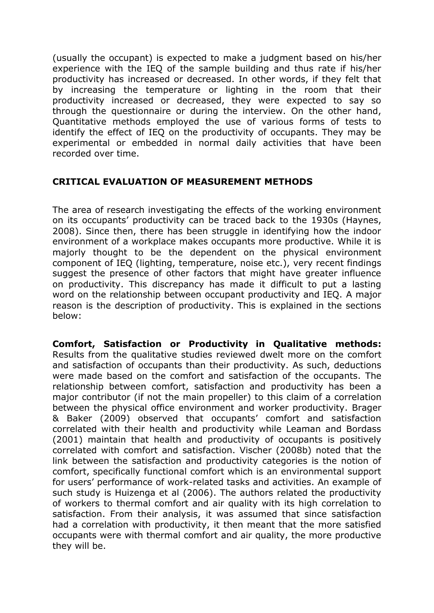(usually the occupant) is expected to make a judgment based on his/her experience with the IEQ of the sample building and thus rate if his/her productivity has increased or decreased. In other words, if they felt that by increasing the temperature or lighting in the room that their productivity increased or decreased, they were expected to say so through the questionnaire or during the interview. On the other hand, Quantitative methods employed the use of various forms of tests to identify the effect of IEQ on the productivity of occupants. They may be experimental or embedded in normal daily activities that have been recorded over time.

## **CRITICAL EVALUATION OF MEASUREMENT METHODS**

The area of research investigating the effects of the working environment on its occupants' productivity can be traced back to the 1930s (Haynes, 2008). Since then, there has been struggle in identifying how the indoor environment of a workplace makes occupants more productive. While it is majorly thought to be the dependent on the physical environment component of IEQ (lighting, temperature, noise etc.), very recent findings suggest the presence of other factors that might have greater influence on productivity. This discrepancy has made it difficult to put a lasting word on the relationship between occupant productivity and IEQ. A major reason is the description of productivity. This is explained in the sections below:

**Comfort, Satisfaction or Productivity in Qualitative methods:** Results from the qualitative studies reviewed dwelt more on the comfort and satisfaction of occupants than their productivity. As such, deductions were made based on the comfort and satisfaction of the occupants. The relationship between comfort, satisfaction and productivity has been a major contributor (if not the main propeller) to this claim of a correlation between the physical office environment and worker productivity. Brager & Baker (2009) observed that occupants' comfort and satisfaction correlated with their health and productivity while Leaman and Bordass (2001) maintain that health and productivity of occupants is positively correlated with comfort and satisfaction. Vischer (2008b) noted that the link between the satisfaction and productivity categories is the notion of comfort, specifically functional comfort which is an environmental support for users' performance of work-related tasks and activities. An example of such study is Huizenga et al (2006). The authors related the productivity of workers to thermal comfort and air quality with its high correlation to satisfaction. From their analysis, it was assumed that since satisfaction had a correlation with productivity, it then meant that the more satisfied occupants were with thermal comfort and air quality, the more productive they will be.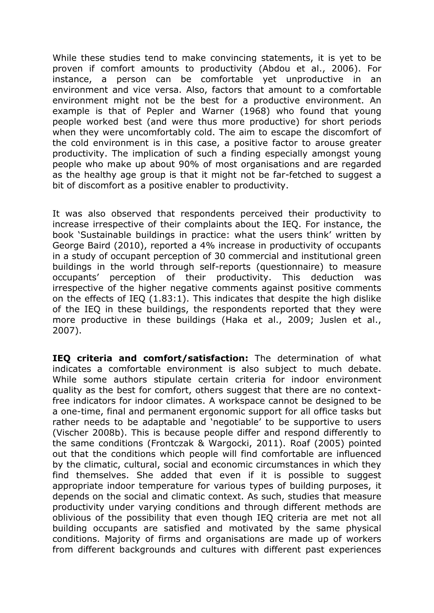While these studies tend to make convincing statements, it is yet to be proven if comfort amounts to productivity (Abdou et al., 2006). For instance, a person can be comfortable yet unproductive in an environment and vice versa. Also, factors that amount to a comfortable environment might not be the best for a productive environment. An example is that of Pepler and Warner (1968) who found that young people worked best (and were thus more productive) for short periods when they were uncomfortably cold. The aim to escape the discomfort of the cold environment is in this case, a positive factor to arouse greater productivity. The implication of such a finding especially amongst young people who make up about 90% of most organisations and are regarded as the healthy age group is that it might not be far-fetched to suggest a bit of discomfort as a positive enabler to productivity.

It was also observed that respondents perceived their productivity to increase irrespective of their complaints about the IEQ. For instance, the book 'Sustainable buildings in practice: what the users think' written by George Baird (2010), reported a 4% increase in productivity of occupants in a study of occupant perception of 30 commercial and institutional green buildings in the world through self-reports (questionnaire) to measure occupants' perception of their productivity. This deduction was irrespective of the higher negative comments against positive comments on the effects of IEQ (1.83:1). This indicates that despite the high dislike of the IEQ in these buildings, the respondents reported that they were more productive in these buildings (Haka et al., 2009; Juslen et al., 2007).

**IEQ criteria and comfort/satisfaction:** The determination of what indicates a comfortable environment is also subject to much debate. While some authors stipulate certain criteria for indoor environment quality as the best for comfort, others suggest that there are no contextfree indicators for indoor climates. A workspace cannot be designed to be a one-time, final and permanent ergonomic support for all office tasks but rather needs to be adaptable and 'negotiable' to be supportive to users (Vischer 2008b). This is because people differ and respond differently to the same conditions (Frontczak & Wargocki, 2011). Roaf (2005) pointed out that the conditions which people will find comfortable are influenced by the climatic, cultural, social and economic circumstances in which they find themselves. She added that even if it is possible to suggest appropriate indoor temperature for various types of building purposes, it depends on the social and climatic context. As such, studies that measure productivity under varying conditions and through different methods are oblivious of the possibility that even though IEQ criteria are met not all building occupants are satisfied and motivated by the same physical conditions. Majority of firms and organisations are made up of workers from different backgrounds and cultures with different past experiences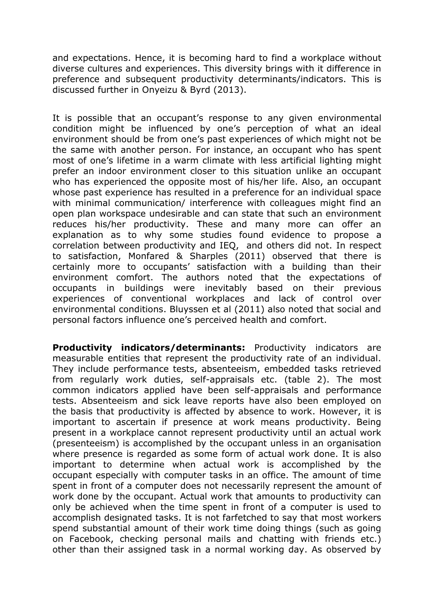and expectations. Hence, it is becoming hard to find a workplace without diverse cultures and experiences. This diversity brings with it difference in preference and subsequent productivity determinants/indicators. This is discussed further in Onyeizu & Byrd (2013).

It is possible that an occupant's response to any given environmental condition might be influenced by one's perception of what an ideal environment should be from one's past experiences of which might not be the same with another person. For instance, an occupant who has spent most of one's lifetime in a warm climate with less artificial lighting might prefer an indoor environment closer to this situation unlike an occupant who has experienced the opposite most of his/her life. Also, an occupant whose past experience has resulted in a preference for an individual space with minimal communication/ interference with colleagues might find an open plan workspace undesirable and can state that such an environment reduces his/her productivity. These and many more can offer an explanation as to why some studies found evidence to propose a correlation between productivity and IEQ, and others did not. In respect to satisfaction, Monfared & Sharples (2011) observed that there is certainly more to occupants' satisfaction with a building than their environment comfort. The authors noted that the expectations of occupants in buildings were inevitably based on their previous experiences of conventional workplaces and lack of control over environmental conditions. Bluyssen et al (2011) also noted that social and personal factors influence one's perceived health and comfort.

**Productivity indicators/determinants:** Productivity indicators are measurable entities that represent the productivity rate of an individual. They include performance tests, absenteeism, embedded tasks retrieved from regularly work duties, self-appraisals etc. (table 2). The most common indicators applied have been self-appraisals and performance tests. Absenteeism and sick leave reports have also been employed on the basis that productivity is affected by absence to work. However, it is important to ascertain if presence at work means productivity. Being present in a workplace cannot represent productivity until an actual work (presenteeism) is accomplished by the occupant unless in an organisation where presence is regarded as some form of actual work done. It is also important to determine when actual work is accomplished by the occupant especially with computer tasks in an office. The amount of time spent in front of a computer does not necessarily represent the amount of work done by the occupant. Actual work that amounts to productivity can only be achieved when the time spent in front of a computer is used to accomplish designated tasks. It is not farfetched to say that most workers spend substantial amount of their work time doing things (such as going on Facebook, checking personal mails and chatting with friends etc.) other than their assigned task in a normal working day. As observed by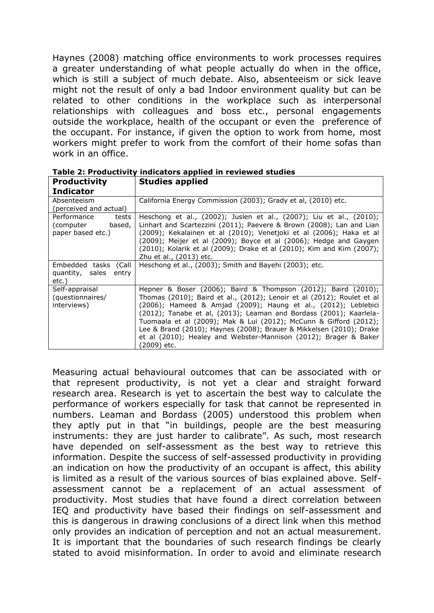Haynes (2008) matching office environments to work processes requires a greater understanding of what people actually do when in the office, which is still a subject of much debate. Also, absenteeism or sick leave might not the result of only a bad Indoor environment quality but can be related to other conditions in the workplace such as interpersonal relationships with colleagues and boss etc., personal engagements outside the workplace, health of the occupant or even the preference of the occupant. For instance, if given the option to work from home, most workers might prefer to work from the comfort of their home sofas than work in an office.

| <b>Productivity</b><br><b>Indicator</b>                          | <b>Studies applied</b>                                                                                                                                                                                                                                                                                                                                                                                                                                                                                         |
|------------------------------------------------------------------|----------------------------------------------------------------------------------------------------------------------------------------------------------------------------------------------------------------------------------------------------------------------------------------------------------------------------------------------------------------------------------------------------------------------------------------------------------------------------------------------------------------|
| Absenteeism<br>(perceived and actual)                            | California Energy Commission (2003); Grady et al, (2010) etc.                                                                                                                                                                                                                                                                                                                                                                                                                                                  |
| Performance<br>tests<br>(computer<br>based,<br>paper based etc.) | Heschong et al., (2002); Juslen et al., (2007); Liu et al., (2010);<br>Linhart and Scartezzini (2011); Paevere & Brown (2008); Lan and Lian<br>(2009); Kekalainen et al (2010); Venetjoki et al (2006); Haka et al<br>(2009); Meijer et al (2009); Boyce et al (2006); Hedge and Gaygen<br>(2010); Kolarik et al (2009); Drake et al (2010); Kim and Kim (2007);<br>Zhu et al., (2013) etc.                                                                                                                    |
| Embedded tasks (Call<br>quantity, sales<br>entry<br>etc.)        | Heschong et al., (2003); Smith and Bayehi (2003); etc.                                                                                                                                                                                                                                                                                                                                                                                                                                                         |
| Self-appraisal<br>(questionnaires/<br>interviews)                | Hepner & Boser (2006); Baird & Thompson (2012); Baird (2010);<br>Thomas (2010); Baird et al., (2012); Lenoir et al (2012); Roulet et al<br>(2006); Hameed & Amjad (2009); Haung et al., (2012); Leblebici<br>(2012); Tanabe et al, (2013); Leaman and Bordass (2001); Kaarlela-<br>Tuomaala et al (2009); Mak & Lui (2012); McCunn & Gifford (2012);<br>Lee & Brand (2010); Haynes (2008); Brauer & Mikkelsen (2010); Drake<br>et al (2010); Healey and Webster-Mannison (2012); Brager & Baker<br>(2009) etc. |

**Table 2: Productivity indicators applied in reviewed studies**

Measuring actual behavioural outcomes that can be associated with or that represent productivity, is not yet a clear and straight forward research area. Research is yet to ascertain the best way to calculate the performance of workers especially for task that cannot be represented in numbers. Leaman and Bordass (2005) understood this problem when they aptly put in that "in buildings, people are the best measuring instruments: they are just harder to calibrate". As such, most research have depended on self-assessment as the best way to retrieve this information. Despite the success of self-assessed productivity in providing an indication on how the productivity of an occupant is affect, this ability is limited as a result of the various sources of bias explained above. Selfassessment cannot be a replacement of an actual assessment of productivity. Most studies that have found a direct correlation between IEQ and productivity have based their findings on self-assessment and this is dangerous in drawing conclusions of a direct link when this method only provides an indication of perception and not an actual measurement. It is important that the boundaries of such research findings be clearly stated to avoid misinformation. In order to avoid and eliminate research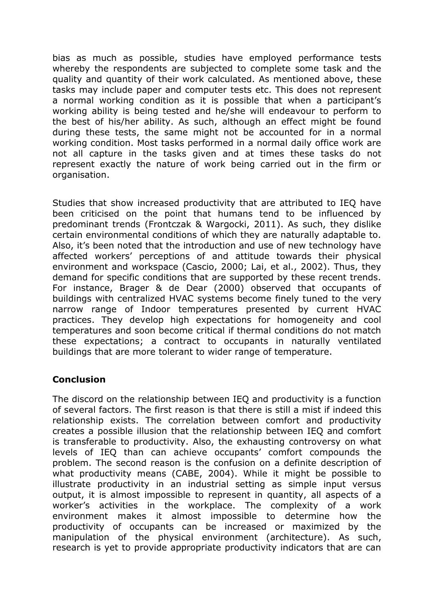bias as much as possible, studies have employed performance tests whereby the respondents are subjected to complete some task and the quality and quantity of their work calculated. As mentioned above, these tasks may include paper and computer tests etc. This does not represent a normal working condition as it is possible that when a participant's working ability is being tested and he/she will endeavour to perform to the best of his/her ability. As such, although an effect might be found during these tests, the same might not be accounted for in a normal working condition. Most tasks performed in a normal daily office work are not all capture in the tasks given and at times these tasks do not represent exactly the nature of work being carried out in the firm or organisation.

Studies that show increased productivity that are attributed to IEQ have been criticised on the point that humans tend to be influenced by predominant trends (Frontczak & Wargocki, 2011). As such, they dislike certain environmental conditions of which they are naturally adaptable to. Also, it's been noted that the introduction and use of new technology have affected workers' perceptions of and attitude towards their physical environment and workspace (Cascio, 2000; Lai, et al., 2002). Thus, they demand for specific conditions that are supported by these recent trends. For instance, Brager & de Dear (2000) observed that occupants of buildings with centralized HVAC systems become finely tuned to the very narrow range of Indoor temperatures presented by current HVAC practices. They develop high expectations for homogeneity and cool temperatures and soon become critical if thermal conditions do not match these expectations; a contract to occupants in naturally ventilated buildings that are more tolerant to wider range of temperature.

### **Conclusion**

The discord on the relationship between IEQ and productivity is a function of several factors. The first reason is that there is still a mist if indeed this relationship exists. The correlation between comfort and productivity creates a possible illusion that the relationship between IEQ and comfort is transferable to productivity. Also, the exhausting controversy on what levels of IEQ than can achieve occupants' comfort compounds the problem. The second reason is the confusion on a definite description of what productivity means (CABE, 2004). While it might be possible to illustrate productivity in an industrial setting as simple input versus output, it is almost impossible to represent in quantity, all aspects of a worker's activities in the workplace. The complexity of a work environment makes it almost impossible to determine how the productivity of occupants can be increased or maximized by the manipulation of the physical environment (architecture). As such, research is yet to provide appropriate productivity indicators that are can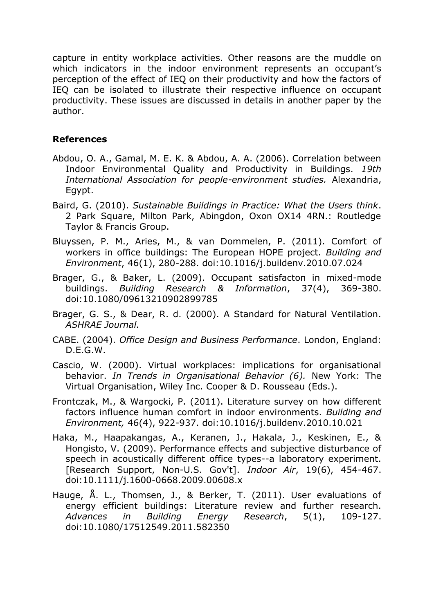capture in entity workplace activities. Other reasons are the muddle on which indicators in the indoor environment represents an occupant's perception of the effect of IEQ on their productivity and how the factors of IEQ can be isolated to illustrate their respective influence on occupant productivity. These issues are discussed in details in another paper by the author.

## **References**

- Abdou, O. A., Gamal, M. E. K. & Abdou, A. A. (2006). Correlation between Indoor Environmental Quality and Productivity in Buildings. *19th International Association for people-environment studies.* Alexandria, Egypt.
- Baird, G. (2010). *Sustainable Buildings in Practice: What the Users think*. 2 Park Square, Milton Park, Abingdon, Oxon OX14 4RN.: Routledge Taylor & Francis Group.
- Bluyssen, P. M., Aries, M., & van Dommelen, P. (2011). Comfort of workers in office buildings: The European HOPE project. *Building and Environment*, 46(1), 280-288. doi:10.1016/j.buildenv.2010.07.024
- Brager, G., & Baker, L. (2009). Occupant satisfacton in mixed-mode buildings. *Building Research & Information*, 37(4), 369-380. doi:10.1080/09613210902899785
- Brager, G. S., & Dear, R. d. (2000). A Standard for Natural Ventilation. *ASHRAE Journal.*
- CABE. (2004). *Office Design and Business Performance*. London, England: D.E.G.W.
- Cascio, W. (2000). Virtual workplaces: implications for organisational behavior. *In Trends in Organisational Behavior (6).* New York: The Virtual Organisation, Wiley Inc. Cooper & D. Rousseau (Eds.).
- Frontczak, M., & Wargocki, P. (2011). Literature survey on how different factors influence human comfort in indoor environments. *Building and Environment,* 46(4), 922-937. doi:10.1016/j.buildenv.2010.10.021
- Haka, M., Haapakangas, A., Keranen, J., Hakala, J., Keskinen, E., & Hongisto, V. (2009). Performance effects and subjective disturbance of speech in acoustically different office types--a laboratory experiment. [Research Support, Non-U.S. Gov't]. *Indoor Air*, 19(6), 454-467. doi:10.1111/j.1600-0668.2009.00608.x
- Hauge, Å. L., Thomsen, J., & Berker, T. (2011). User evaluations of energy efficient buildings: Literature review and further research. *Advances in Building Energy Research*, 5(1), 109-127. doi:10.1080/17512549.2011.582350